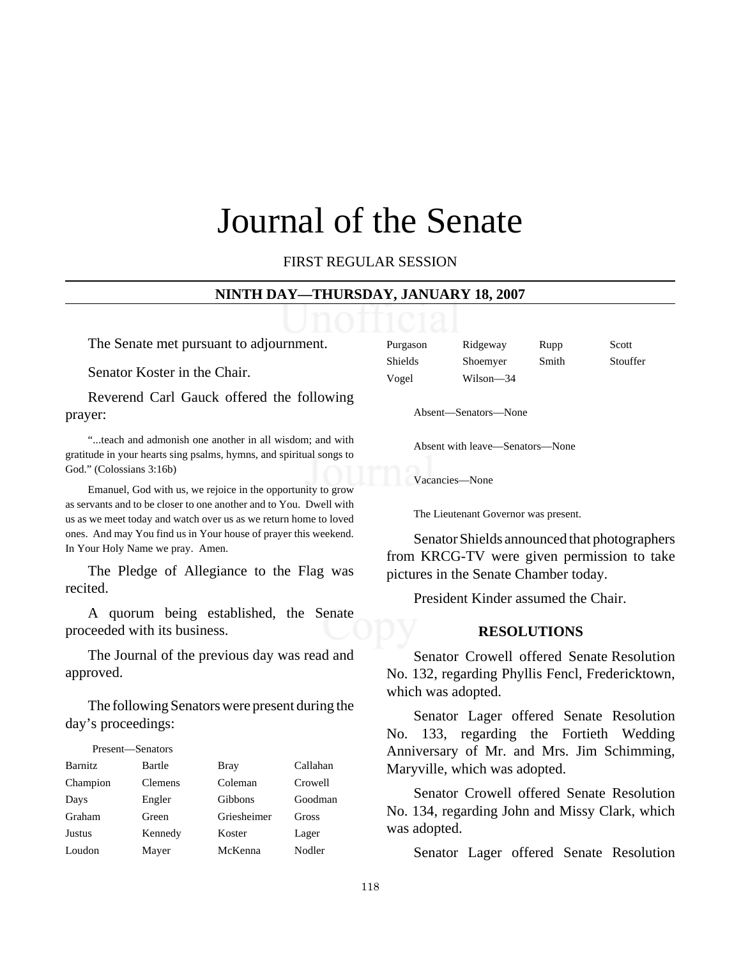# Journal of the Senate

FIRST REGULAR SESSION

#### **NINTH DAY—THURSDAY, JANUARY 18, 2007**

The Senate met pursuant to adjournment.

Senator Koster in the Chair.

Reverend Carl Gauck offered the following prayer:

"...teach and admonish one another in all wisdom; and with gratitude in your hearts sing psalms, hymns, and spiritual songs to God." (Colossians 3:16b)

Emanuel, God with us, we rejoice in the opportunity to grow as servants and to be closer to one another and to You. Dwell with us as we meet today and watch over us as we return home to loved ones. And may You find us in Your house of prayer this weekend. In Your Holy Name we pray. Amen.

The Pledge of Allegiance to the Flag was recited.

A quorum being established, the Senate proceeded with its business.

The Journal of the previous day was read and approved.

The following Senators were present during the day's proceedings:

| Present-Senators |                |             |          |
|------------------|----------------|-------------|----------|
| <b>Barnitz</b>   | Bartle         | <b>Bray</b> | Callahan |
| Champion         | <b>Clemens</b> | Coleman     | Crowell  |
| Days             | Engler         | Gibbons     | Goodman  |
| Graham           | Green          | Griesheimer | Gross    |
| <b>Justus</b>    | Kennedy        | Koster      | Lager    |
| Loudon           | Mayer          | McKenna     | Nodler   |

| Purgason | Ridgeway  | Rupp  | Scott    |
|----------|-----------|-------|----------|
| Shields  | Shoemyer  | Smith | Stouffer |
| Vogel    | Wilson-34 |       |          |

Absent—Senators—None

Absent with leave—Senators—None

Vacancies—None

The Lieutenant Governor was present.

Senator Shields announced that photographers from KRCG-TV were given permission to take pictures in the Senate Chamber today.

President Kinder assumed the Chair.

# **RESOLUTIONS**

 Senator Crowell offered Senate Resolution No. 132, regarding Phyllis Fencl, Fredericktown, which was adopted.

Senator Lager offered Senate Resolution No. 133, regarding the Fortieth Wedding Anniversary of Mr. and Mrs. Jim Schimming, Maryville, which was adopted.

Senator Crowell offered Senate Resolution No. 134, regarding John and Missy Clark, which was adopted.

Senator Lager offered Senate Resolution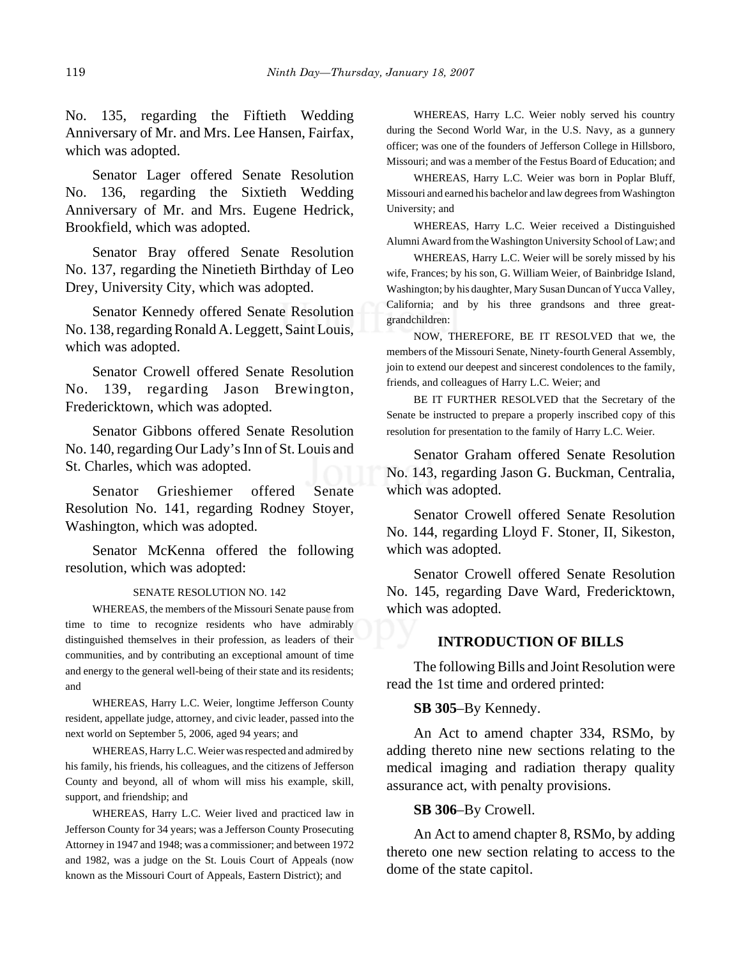No. 135, regarding the Fiftieth Wedding Anniversary of Mr. and Mrs. Lee Hansen, Fairfax, which was adopted.

Senator Lager offered Senate Resolution No. 136, regarding the Sixtieth Wedding Anniversary of Mr. and Mrs. Eugene Hedrick, Brookfield, which was adopted.

Senator Bray offered Senate Resolution No. 137, regarding the Ninetieth Birthday of Leo Drey, University City, which was adopted.

Senator Kennedy offered Senate Resolution No. 138, regarding Ronald A. Leggett, Saint Louis, which was adopted.

Senator Crowell offered Senate Resolution No. 139, regarding Jason Brewington, Fredericktown, which was adopted.

Senator Gibbons offered Senate Resolution No. 140, regarding Our Lady's Inn of St. Louis and St. Charles, which was adopted.

Senator Grieshiemer offered Senate Resolution No. 141, regarding Rodney Stoyer, Washington, which was adopted.

Senator McKenna offered the following resolution, which was adopted:

#### SENATE RESOLUTION NO. 142

WHEREAS, the members of the Missouri Senate pause from time to time to recognize residents who have admirably distinguished themselves in their profession, as leaders of their communities, and by contributing an exceptional amount of time and energy to the general well-being of their state and its residents; and

WHEREAS, Harry L.C. Weier, longtime Jefferson County resident, appellate judge, attorney, and civic leader, passed into the next world on September 5, 2006, aged 94 years; and

WHEREAS, Harry L.C. Weier was respected and admired by his family, his friends, his colleagues, and the citizens of Jefferson County and beyond, all of whom will miss his example, skill, support, and friendship; and

WHEREAS, Harry L.C. Weier lived and practiced law in Jefferson County for 34 years; was a Jefferson County Prosecuting Attorney in 1947 and 1948; was a commissioner; and between 1972 and 1982, was a judge on the St. Louis Court of Appeals (now known as the Missouri Court of Appeals, Eastern District); and

WHEREAS, Harry L.C. Weier nobly served his country during the Second World War, in the U.S. Navy, as a gunnery officer; was one of the founders of Jefferson College in Hillsboro, Missouri; and was a member of the Festus Board of Education; and

WHEREAS, Harry L.C. Weier was born in Poplar Bluff, Missouri and earned his bachelor and law degrees from Washington University; and

WHEREAS, Harry L.C. Weier received a Distinguished Alumni Award from the Washington University School of Law; and

WHEREAS, Harry L.C. Weier will be sorely missed by his wife, Frances; by his son, G. William Weier, of Bainbridge Island, Washington; by his daughter, Mary Susan Duncan of Yucca Valley, California; and by his three grandsons and three greatgrandchildren:

NOW, THEREFORE, BE IT RESOLVED that we, the members of the Missouri Senate, Ninety-fourth General Assembly, join to extend our deepest and sincerest condolences to the family, friends, and colleagues of Harry L.C. Weier; and

BE IT FURTHER RESOLVED that the Secretary of the Senate be instructed to prepare a properly inscribed copy of this resolution for presentation to the family of Harry L.C. Weier.

Senator Graham offered Senate Resolution No. 143, regarding Jason G. Buckman, Centralia, which was adopted.

Senator Crowell offered Senate Resolution No. 144, regarding Lloyd F. Stoner, II, Sikeston, which was adopted.

Senator Crowell offered Senate Resolution No. 145, regarding Dave Ward, Fredericktown, which was adopted.

#### **INTRODUCTION OF BILLS**

The following Bills and Joint Resolution were read the 1st time and ordered printed:

#### **SB 305**–By Kennedy.

An Act to amend chapter 334, RSMo, by adding thereto nine new sections relating to the medical imaging and radiation therapy quality assurance act, with penalty provisions.

#### **SB 306**–By Crowell.

An Act to amend chapter 8, RSMo, by adding thereto one new section relating to access to the dome of the state capitol.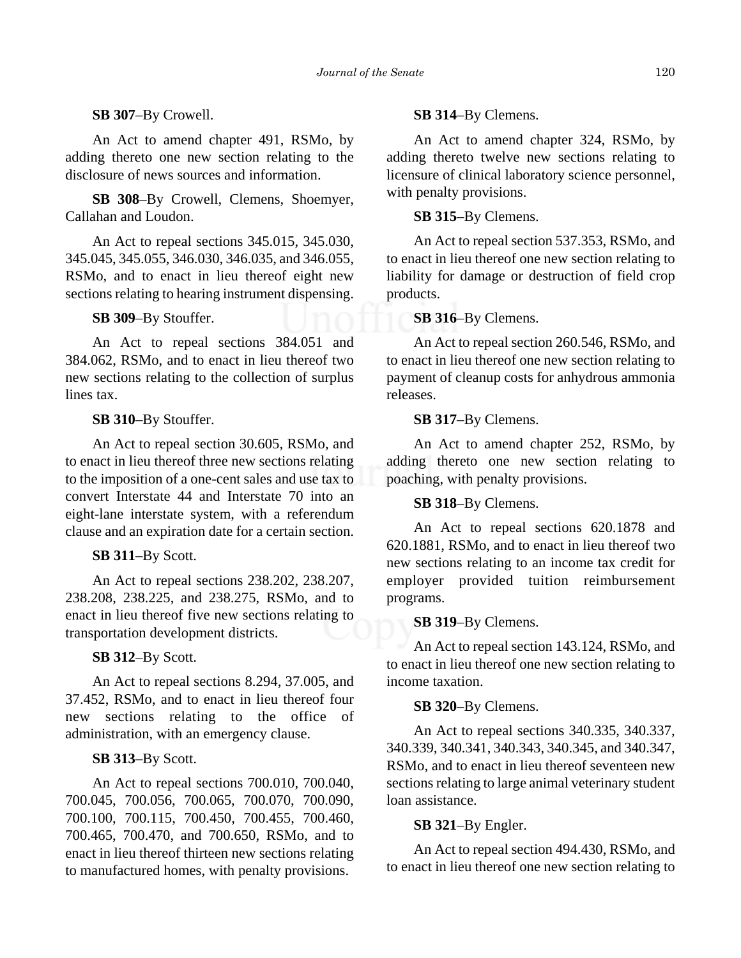# **SB 307**–By Crowell.

An Act to amend chapter 491, RSMo, by adding thereto one new section relating to the disclosure of news sources and information.

**SB 308**–By Crowell, Clemens, Shoemyer, Callahan and Loudon.

An Act to repeal sections 345.015, 345.030, 345.045, 345.055, 346.030, 346.035, and 346.055, RSMo, and to enact in lieu thereof eight new sections relating to hearing instrument dispensing.

## **SB 309**–By Stouffer.

An Act to repeal sections 384.051 and 384.062, RSMo, and to enact in lieu thereof two new sections relating to the collection of surplus lines tax.

# **SB 310**–By Stouffer.

An Act to repeal section 30.605, RSMo, and to enact in lieu thereof three new sections relating to the imposition of a one-cent sales and use tax to convert Interstate 44 and Interstate 70 into an eight-lane interstate system, with a referendum clause and an expiration date for a certain section.

# **SB 311**–By Scott.

An Act to repeal sections 238.202, 238.207, 238.208, 238.225, and 238.275, RSMo, and to enact in lieu thereof five new sections relating to transportation development districts.

#### **SB 312**–By Scott.

An Act to repeal sections 8.294, 37.005, and 37.452, RSMo, and to enact in lieu thereof four new sections relating to the office of administration, with an emergency clause.

## **SB 313**–By Scott.

An Act to repeal sections 700.010, 700.040, 700.045, 700.056, 700.065, 700.070, 700.090, 700.100, 700.115, 700.450, 700.455, 700.460, 700.465, 700.470, and 700.650, RSMo, and to enact in lieu thereof thirteen new sections relating to manufactured homes, with penalty provisions.

#### **SB 314**–By Clemens.

An Act to amend chapter 324, RSMo, by adding thereto twelve new sections relating to licensure of clinical laboratory science personnel, with penalty provisions.

## **SB 315**–By Clemens.

An Act to repeal section 537.353, RSMo, and to enact in lieu thereof one new section relating to liability for damage or destruction of field crop products.

# **SB 316**–By Clemens.

An Act to repeal section 260.546, RSMo, and to enact in lieu thereof one new section relating to payment of cleanup costs for anhydrous ammonia releases.

# **SB 317**–By Clemens.

An Act to amend chapter 252, RSMo, by adding thereto one new section relating to poaching, with penalty provisions.

**SB 318**–By Clemens.

An Act to repeal sections 620.1878 and 620.1881, RSMo, and to enact in lieu thereof two new sections relating to an income tax credit for employer provided tuition reimbursement programs.

#### **SB 319**–By Clemens.

An Act to repeal section 143.124, RSMo, and to enact in lieu thereof one new section relating to income taxation.

# **SB 320**–By Clemens.

An Act to repeal sections 340.335, 340.337, 340.339, 340.341, 340.343, 340.345, and 340.347, RSMo, and to enact in lieu thereof seventeen new sections relating to large animal veterinary student loan assistance.

# **SB 321**–By Engler.

An Act to repeal section 494.430, RSMo, and to enact in lieu thereof one new section relating to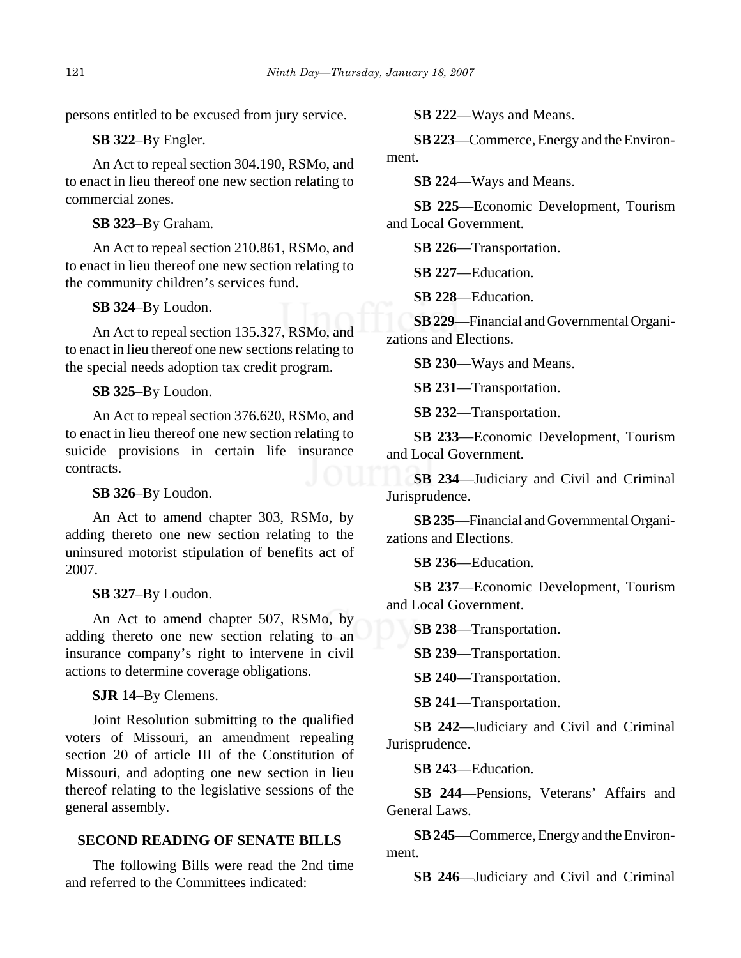persons entitled to be excused from jury service.

**SB 322**–By Engler.

An Act to repeal section 304.190, RSMo, and to enact in lieu thereof one new section relating to commercial zones.

**SB 323**–By Graham.

An Act to repeal section 210.861, RSMo, and to enact in lieu thereof one new section relating to the community children's services fund.

# **SB 324**–By Loudon.

An Act to repeal section 135.327, RSMo, and to enact in lieu thereof one new sections relating to the special needs adoption tax credit program.

# **SB 325**–By Loudon.

An Act to repeal section 376.620, RSMo, and to enact in lieu thereof one new section relating to suicide provisions in certain life insurance contracts.

# **SB 326**–By Loudon.

An Act to amend chapter 303, RSMo, by adding thereto one new section relating to the uninsured motorist stipulation of benefits act of 2007.

# **SB 327**–By Loudon.

An Act to amend chapter 507, RSMo, by adding thereto one new section relating to an insurance company's right to intervene in civil actions to determine coverage obligations.

**SJR 14**–By Clemens.

Joint Resolution submitting to the qualified voters of Missouri, an amendment repealing section 20 of article III of the Constitution of Missouri, and adopting one new section in lieu thereof relating to the legislative sessions of the general assembly.

# **SECOND READING OF SENATE BILLS**

The following Bills were read the 2nd time and referred to the Committees indicated:

**SB 222**—Ways and Means.

**SB 223**—Commerce, Energy and the Environment.

**SB 224**—Ways and Means.

**SB 225**—Economic Development, Tourism and Local Government.

**SB 226**—Transportation.

**SB 227**—Education.

**SB 228**—Education.

**SB 229**—Financial and Governmental Organizations and Elections.

**SB 230**—Ways and Means.

**SB 231**—Transportation.

**SB 232**—Transportation.

**SB 233**—Economic Development, Tourism and Local Government.

**SB 234**—Judiciary and Civil and Criminal Jurisprudence.

**SB 235**—Financial and Governmental Organizations and Elections.

**SB 236**—Education.

**SB 237**—Economic Development, Tourism and Local Government.

**SB 238**—Transportation.

**SB 239**—Transportation.

**SB 240**—Transportation.

**SB 241**—Transportation.

**SB 242**—Judiciary and Civil and Criminal Jurisprudence.

**SB 243**—Education.

**SB 244**—Pensions, Veterans' Affairs and General Laws.

**SB 245**—Commerce, Energy and the Environment.

**SB 246**—Judiciary and Civil and Criminal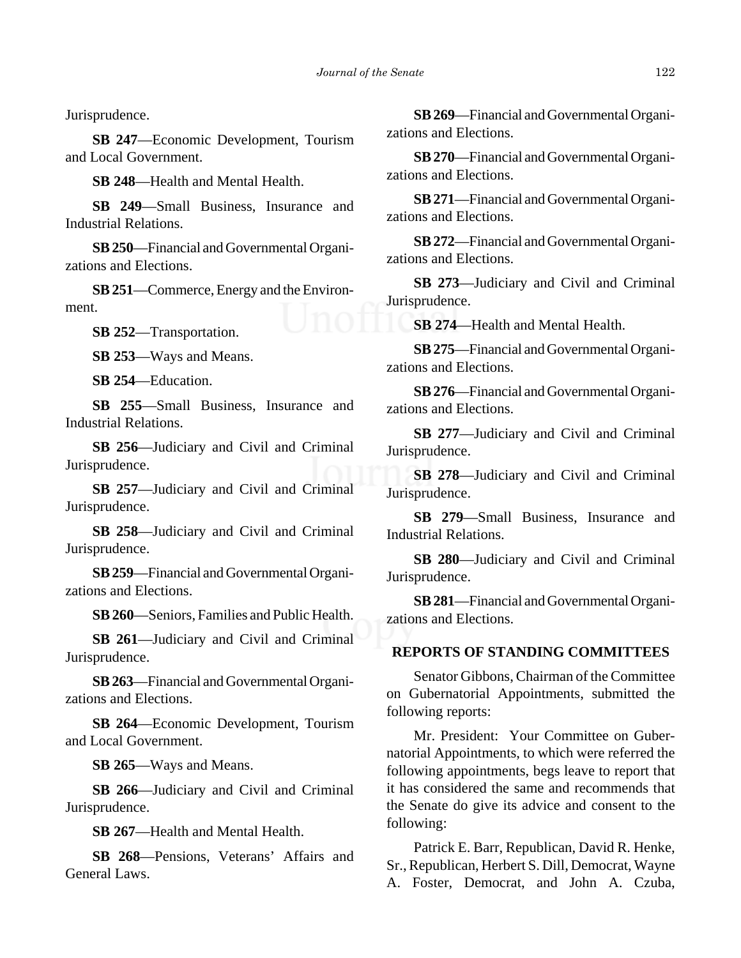Jurisprudence.

**SB 247**—Economic Development, Tourism and Local Government.

**SB 248**—Health and Mental Health.

**SB 249**—Small Business, Insurance and Industrial Relations.

**SB 250**—Financial and Governmental Organizations and Elections.

**SB 251**—Commerce, Energy and the Environment.

**SB 252**—Transportation.

**SB 253**—Ways and Means.

**SB 254**—Education.

**SB 255**—Small Business, Insurance and Industrial Relations.

**SB 256**—Judiciary and Civil and Criminal Jurisprudence.

**SB 257**—Judiciary and Civil and Criminal Jurisprudence.

**SB 258**—Judiciary and Civil and Criminal Jurisprudence.

**SB 259**—Financial and Governmental Organizations and Elections.

**SB 260**—Seniors, Families and Public Health.

**SB 261**—Judiciary and Civil and Criminal Jurisprudence.

**SB 263**—Financial and Governmental Organizations and Elections.

**SB 264**—Economic Development, Tourism and Local Government.

**SB 265**—Ways and Means.

**SB 266**—Judiciary and Civil and Criminal Jurisprudence.

**SB 267**—Health and Mental Health.

**SB 268**—Pensions, Veterans' Affairs and General Laws.

**SB 269**—Financial and Governmental Organizations and Elections.

**SB 270**—Financial and Governmental Organizations and Elections.

**SB 271**—Financial and Governmental Organizations and Elections.

**SB 272**—Financial and Governmental Organizations and Elections.

**SB 273**—Judiciary and Civil and Criminal Jurisprudence.

**SB 274**—Health and Mental Health.

**SB 275**—Financial and Governmental Organizations and Elections.

**SB 276**—Financial and Governmental Organizations and Elections.

**SB 277**—Judiciary and Civil and Criminal Jurisprudence.

**SB 278**—Judiciary and Civil and Criminal Jurisprudence.

**SB 279**—Small Business, Insurance and Industrial Relations.

**SB 280**—Judiciary and Civil and Criminal Jurisprudence.

**SB 281**—Financial and Governmental Organizations and Elections.

# **REPORTS OF STANDING COMMITTEES**

Senator Gibbons, Chairman of the Committee on Gubernatorial Appointments, submitted the following reports:

Mr. President: Your Committee on Gubernatorial Appointments, to which were referred the following appointments, begs leave to report that it has considered the same and recommends that the Senate do give its advice and consent to the following:

Patrick E. Barr, Republican, David R. Henke, Sr., Republican, Herbert S. Dill, Democrat, Wayne A. Foster, Democrat, and John A. Czuba,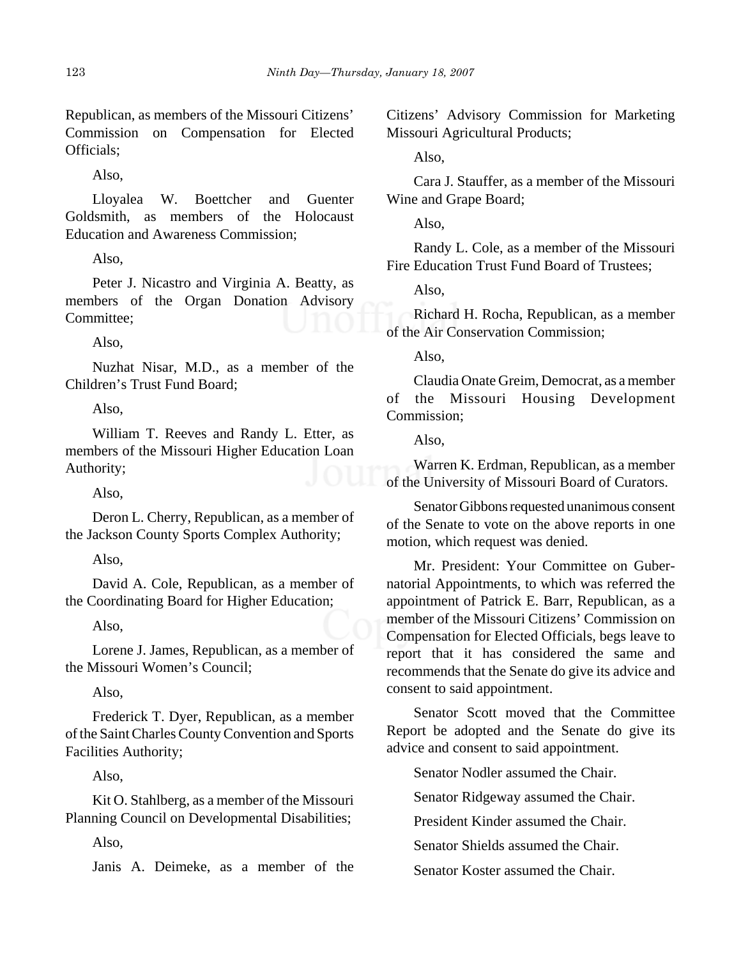Republican, as members of the Missouri Citizens' Commission on Compensation for Elected Officials;

Also,

Lloyalea W. Boettcher and Guenter Goldsmith, as members of the Holocaust Education and Awareness Commission;

Also,

Peter J. Nicastro and Virginia A. Beatty, as members of the Organ Donation Advisory Committee;

Also,

Nuzhat Nisar, M.D., as a member of the Children's Trust Fund Board;

Also,

William T. Reeves and Randy L. Etter, as members of the Missouri Higher Education Loan Authority;

Also,

Deron L. Cherry, Republican, as a member of the Jackson County Sports Complex Authority;

Also,

David A. Cole, Republican, as a member of the Coordinating Board for Higher Education;

Also,

Lorene J. James, Republican, as a member of the Missouri Women's Council;

Also,

Frederick T. Dyer, Republican, as a member of the Saint Charles County Convention and Sports Facilities Authority;

Also,

Kit O. Stahlberg, as a member of the Missouri Planning Council on Developmental Disabilities;

Also,

Janis A. Deimeke, as a member of the

Citizens' Advisory Commission for Marketing Missouri Agricultural Products;

Also,

Cara J. Stauffer, as a member of the Missouri Wine and Grape Board;

Also,

Randy L. Cole, as a member of the Missouri Fire Education Trust Fund Board of Trustees;

Also,

Richard H. Rocha, Republican, as a member of the Air Conservation Commission;

Also,

Claudia Onate Greim, Democrat, as a member of the Missouri Housing Development Commission;

Also,

Warren K. Erdman, Republican, as a member of the University of Missouri Board of Curators.

Senator Gibbons requested unanimous consent of the Senate to vote on the above reports in one motion, which request was denied.

Mr. President: Your Committee on Gubernatorial Appointments, to which was referred the appointment of Patrick E. Barr, Republican, as a member of the Missouri Citizens' Commission on Compensation for Elected Officials, begs leave to report that it has considered the same and recommends that the Senate do give its advice and consent to said appointment.

Senator Scott moved that the Committee Report be adopted and the Senate do give its advice and consent to said appointment.

Senator Nodler assumed the Chair.

Senator Ridgeway assumed the Chair.

President Kinder assumed the Chair.

Senator Shields assumed the Chair.

Senator Koster assumed the Chair.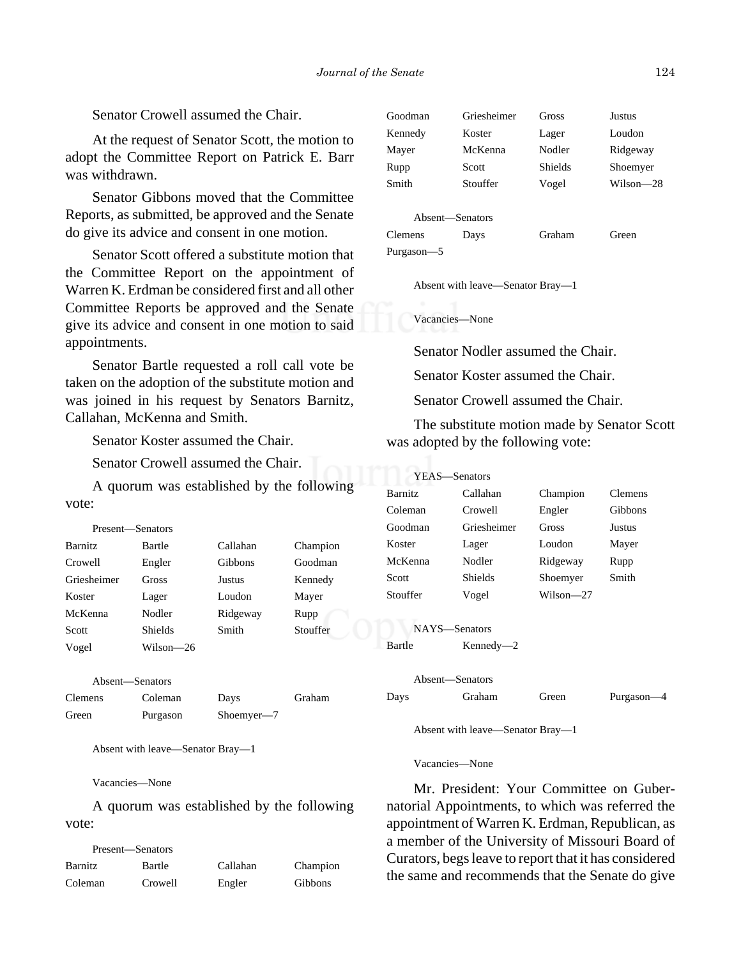Senator Crowell assumed the Chair.

At the request of Senator Scott, the motion to adopt the Committee Report on Patrick E. Barr was withdrawn.

Senator Gibbons moved that the Committee Reports, as submitted, be approved and the Senate do give its advice and consent in one motion.

Senator Scott offered a substitute motion that the Committee Report on the appointment of Warren K. Erdman be considered first and all other Committee Reports be approved and the Senate give its advice and consent in one motion to said appointments.

Senator Bartle requested a roll call vote be taken on the adoption of the substitute motion and was joined in his request by Senators Barnitz, Callahan, McKenna and Smith.

Senator Koster assumed the Chair.

Senator Crowell assumed the Chair.

A quorum was established by the following vote:

| Present—Senators |           |          |          |
|------------------|-----------|----------|----------|
| <b>Barnitz</b>   | Bartle    | Callahan | Champion |
| Crowell          | Engler    | Gibbons  | Goodman  |
| Griesheimer      | Gross     | Justus   | Kennedy  |
| Koster           | Lager     | Loudon   | Mayer    |
| McKenna          | Nodler    | Ridgeway | Rupp     |
| Scott            | Shields   | Smith    | Stouffer |
| Vogel            | Wilson—26 |          |          |

Absent—Senators

Clemens Coleman Days Graham Green Purgason Shoemyer—7

Absent with leave—Senator Bray—1

Vacancies—None

A quorum was established by the following vote:

| Present—Senators |         |          |                |
|------------------|---------|----------|----------------|
| Barnitz          | Bartle  | Callahan | Champion       |
| Coleman          | Crowell | Engler   | <b>Gibbons</b> |

| Goodman | Griesheimer | <b>Gross</b> | Justus    |
|---------|-------------|--------------|-----------|
| Kennedy | Koster      | Lager        | Loudon    |
| Mayer   | McKenna     | Nodler       | Ridgeway  |
| Rupp    | Scott       | Shields      | Shoemyer  |
| Smith   | Stouffer    | Vogel        | Wilson—28 |
|         |             |              |           |

Absent—Senators Clemens Days Graham Green Purgason—5

Absent with leave—Senator Bray—1

Vacancies—None

Senator Nodler assumed the Chair.

Senator Koster assumed the Chair.

Senator Crowell assumed the Chair.

The substitute motion made by Senator Scott was adopted by the following vote:

| YEAS—Senators  |               |           |                |
|----------------|---------------|-----------|----------------|
| <b>Barnitz</b> | Callahan      | Champion  | <b>Clemens</b> |
| Coleman        | Crowell       | Engler    | Gibbons        |
| Goodman        | Griesheimer   | Gross     | Justus         |
| Koster         | Lager         | Loudon    | Mayer          |
| McKenna        | Nodler        | Ridgeway  | Rupp           |
| Scott          | Shields       | Shoemyer  | Smith          |
| Stouffer       | Vogel         | Wilson—27 |                |
|                | NAYS-Senators |           |                |
| Bartle         | $Kennedy - 2$ |           |                |

|      | Absent—Senators |       |            |
|------|-----------------|-------|------------|
| Days | <b>Graham</b>   | Green | Purgason-4 |

Absent with leave—Senator Bray—1

Vacancies—None

Mr. President: Your Committee on Gubernatorial Appointments, to which was referred the appointment of Warren K. Erdman, Republican, as a member of the University of Missouri Board of Curators, begs leave to report that it has considered the same and recommends that the Senate do give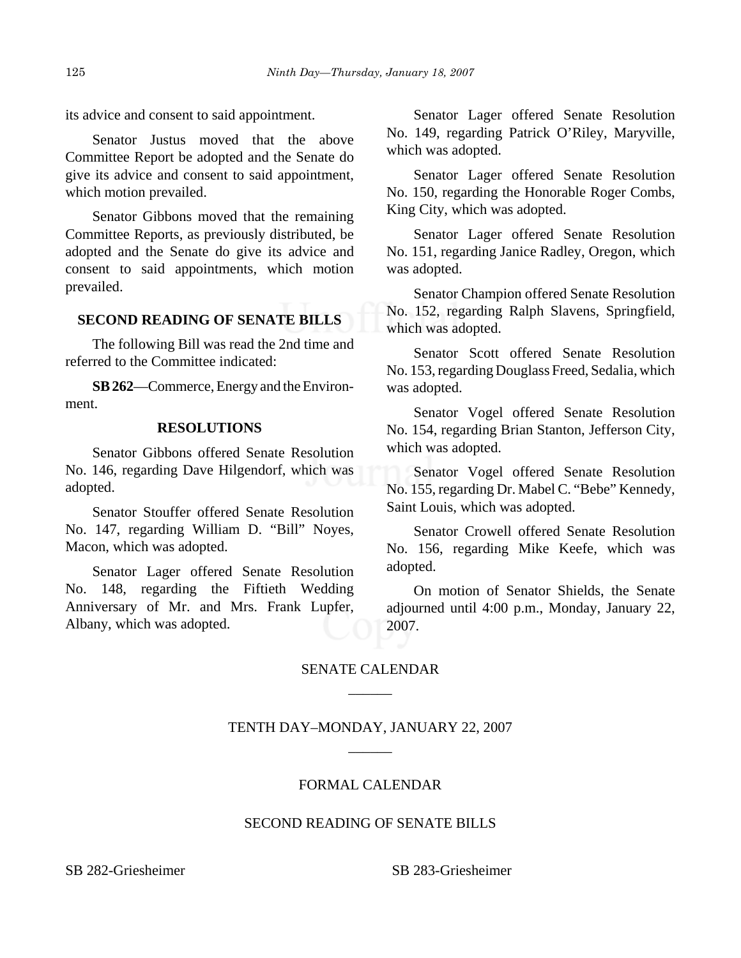its advice and consent to said appointment.

Senator Justus moved that the above Committee Report be adopted and the Senate do give its advice and consent to said appointment, which motion prevailed.

Senator Gibbons moved that the remaining Committee Reports, as previously distributed, be adopted and the Senate do give its advice and consent to said appointments, which motion prevailed.

# **SECOND READING OF SENATE BILLS**

The following Bill was read the 2nd time and referred to the Committee indicated:

**SB 262**—Commerce, Energy and the Environment.

#### **RESOLUTIONS**

Senator Gibbons offered Senate Resolution No. 146, regarding Dave Hilgendorf, which was adopted.

Senator Stouffer offered Senate Resolution No. 147, regarding William D. "Bill" Noyes, Macon, which was adopted.

Senator Lager offered Senate Resolution No. 148, regarding the Fiftieth Wedding Anniversary of Mr. and Mrs. Frank Lupfer, Albany, which was adopted.

Senator Lager offered Senate Resolution No. 149, regarding Patrick O'Riley, Maryville, which was adopted.

Senator Lager offered Senate Resolution No. 150, regarding the Honorable Roger Combs, King City, which was adopted.

Senator Lager offered Senate Resolution No. 151, regarding Janice Radley, Oregon, which was adopted.

Senator Champion offered Senate Resolution No. 152, regarding Ralph Slavens, Springfield, which was adopted.

Senator Scott offered Senate Resolution No. 153, regarding Douglass Freed, Sedalia, which was adopted.

Senator Vogel offered Senate Resolution No. 154, regarding Brian Stanton, Jefferson City, which was adopted.

Senator Vogel offered Senate Resolution No. 155, regarding Dr. Mabel C. "Bebe" Kennedy, Saint Louis, which was adopted.

Senator Crowell offered Senate Resolution No. 156, regarding Mike Keefe, which was adopted.

On motion of Senator Shields, the Senate adjourned until 4:00 p.m., Monday, January 22, 2007.

# SENATE CALENDAR \_\_\_\_\_\_

# TENTH DAY–MONDAY, JANUARY 22, 2007 \_\_\_\_\_\_

# FORMAL CALENDAR

#### SECOND READING OF SENATE BILLS

SB 282-Griesheimer SB 283-Griesheimer